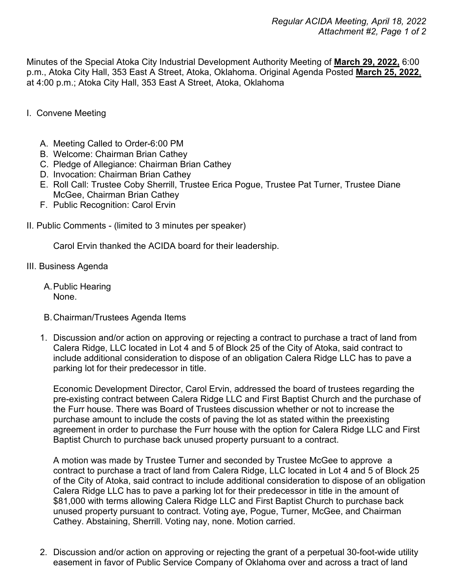Minutes of the Special Atoka City Industrial Development Authority Meeting of **March 29, 2022,** 6:00 p.m., Atoka City Hall, 353 East A Street, Atoka, Oklahoma. Original Agenda Posted **March 25, 2022**, at 4:00 p.m.; Atoka City Hall, 353 East A Street, Atoka, Oklahoma

- I. Convene Meeting
	- A. Meeting Called to Order-6:00 PM
	- B. Welcome: Chairman Brian Cathey
	- C. Pledge of Allegiance: Chairman Brian Cathey
	- D. Invocation: Chairman Brian Cathey
	- E. Roll Call: Trustee Coby Sherrill, Trustee Erica Pogue, Trustee Pat Turner, Trustee Diane McGee, Chairman Brian Cathey
	- F. Public Recognition: Carol Ervin
- II. Public Comments (limited to 3 minutes per speaker)

Carol Ervin thanked the ACIDA board for their leadership.

- III. Business Agenda
	- A.Public Hearing None.
	- B.Chairman/Trustees Agenda Items
	- 1. Discussion and/or action on approving or rejecting a contract to purchase a tract of land from Calera Ridge, LLC located in Lot 4 and 5 of Block 25 of the City of Atoka, said contract to include additional consideration to dispose of an obligation Calera Ridge LLC has to pave a parking lot for their predecessor in title.

Economic Development Director, Carol Ervin, addressed the board of trustees regarding the pre-existing contract between Calera Ridge LLC and First Baptist Church and the purchase of the Furr house. There was Board of Trustees discussion whether or not to increase the purchase amount to include the costs of paving the lot as stated within the preexisting agreement in order to purchase the Furr house with the option for Calera Ridge LLC and First Baptist Church to purchase back unused property pursuant to a contract.

A motion was made by Trustee Turner and seconded by Trustee McGee to approve a contract to purchase a tract of land from Calera Ridge, LLC located in Lot 4 and 5 of Block 25 of the City of Atoka, said contract to include additional consideration to dispose of an obligation Calera Ridge LLC has to pave a parking lot for their predecessor in title in the amount of \$81,000 with terms allowing Calera Ridge LLC and First Baptist Church to purchase back unused property pursuant to contract. Voting aye, Pogue, Turner, McGee, and Chairman Cathey. Abstaining, Sherrill. Voting nay, none. Motion carried.

2. Discussion and/or action on approving or rejecting the grant of a perpetual 30-foot-wide utility easement in favor of Public Service Company of Oklahoma over and across a tract of land